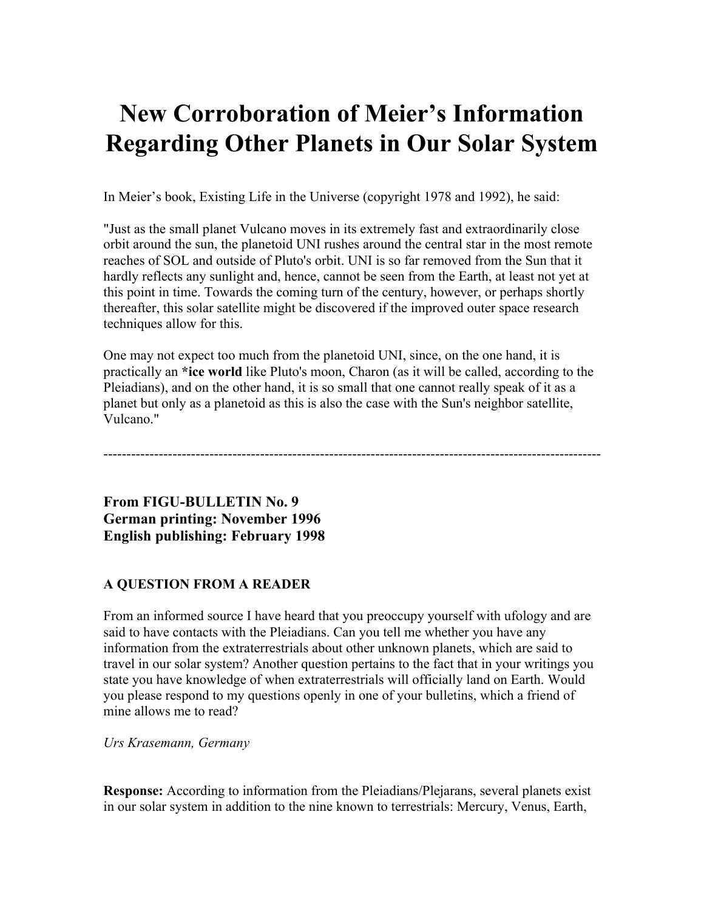## **New Corroboration of Meier's Information Regarding Other Planets in Our Solar System**

In Meier's book, Existing Life in the Universe (copyright 1978 and 1992), he said:

"Just as the small planet Vulcano moves in its extremely fast and extraordinarily close orbit around the sun, the planetoid UNI rushes around the central star in the most remote reaches of SOL and outside of Pluto's orbit. UNI is so far removed from the Sun that it hardly reflects any sunlight and, hence, cannot be seen from the Earth, at least not yet at this point in time. Towards the coming turn of the century, however, or perhaps shortly thereafter, this solar satellite might be discovered if the improved outer space research techniques allow for this.

One may not expect too much from the planetoid UNI, since, on the one hand, it is practically an **\*ice world** like Pluto's moon, Charon (as it will be called, according to the Pleiadians), and on the other hand, it is so small that one cannot really speak of it as a planet but only as a planetoid as this is also the case with the Sun's neighbor satellite, Vulcano."

------------------------------------------------------------------------------------------------------------

**From FIGU-BULLETIN No. 9 German printing: November 1996 English publishing: February 1998**

## **A QUESTION FROM A READER**

From an informed source I have heard that you preoccupy yourself with ufology and are said to have contacts with the Pleiadians. Can you tell me whether you have any information from the extraterrestrials about other unknown planets, which are said to travel in our solar system? Another question pertains to the fact that in your writings you state you have knowledge of when extraterrestrials will officially land on Earth. Would you please respond to my questions openly in one of your bulletins, which a friend of mine allows me to read?

*Urs Krasemann, Germany*

**Response:** According to information from the Pleiadians/Plejarans, several planets exist in our solar system in addition to the nine known to terrestrials: Mercury, Venus, Earth,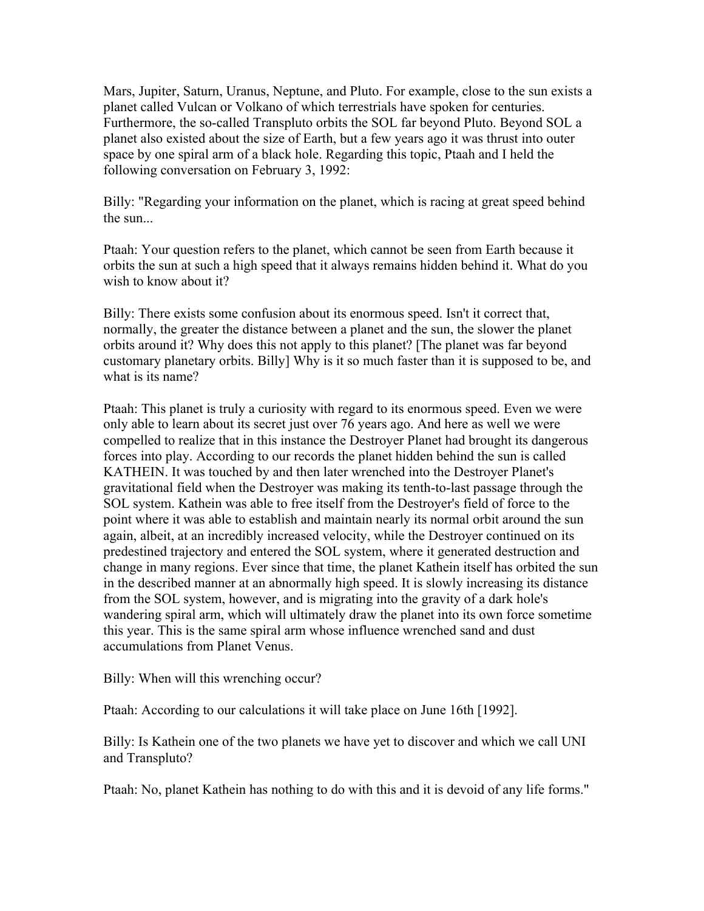Mars, Jupiter, Saturn, Uranus, Neptune, and Pluto. For example, close to the sun exists a planet called Vulcan or Volkano of which terrestrials have spoken for centuries. Furthermore, the so-called Transpluto orbits the SOL far beyond Pluto. Beyond SOL a planet also existed about the size of Earth, but a few years ago it was thrust into outer space by one spiral arm of a black hole. Regarding this topic, Ptaah and I held the following conversation on February 3, 1992:

Billy: "Regarding your information on the planet, which is racing at great speed behind the sun...

Ptaah: Your question refers to the planet, which cannot be seen from Earth because it orbits the sun at such a high speed that it always remains hidden behind it. What do you wish to know about it?

Billy: There exists some confusion about its enormous speed. Isn't it correct that, normally, the greater the distance between a planet and the sun, the slower the planet orbits around it? Why does this not apply to this planet? [The planet was far beyond customary planetary orbits. Billy] Why is it so much faster than it is supposed to be, and what is its name?

Ptaah: This planet is truly a curiosity with regard to its enormous speed. Even we were only able to learn about its secret just over 76 years ago. And here as well we were compelled to realize that in this instance the Destroyer Planet had brought its dangerous forces into play. According to our records the planet hidden behind the sun is called KATHEIN. It was touched by and then later wrenched into the Destroyer Planet's gravitational field when the Destroyer was making its tenth-to-last passage through the SOL system. Kathein was able to free itself from the Destroyer's field of force to the point where it was able to establish and maintain nearly its normal orbit around the sun again, albeit, at an incredibly increased velocity, while the Destroyer continued on its predestined trajectory and entered the SOL system, where it generated destruction and change in many regions. Ever since that time, the planet Kathein itself has orbited the sun in the described manner at an abnormally high speed. It is slowly increasing its distance from the SOL system, however, and is migrating into the gravity of a dark hole's wandering spiral arm, which will ultimately draw the planet into its own force sometime this year. This is the same spiral arm whose influence wrenched sand and dust accumulations from Planet Venus.

Billy: When will this wrenching occur?

Ptaah: According to our calculations it will take place on June 16th [1992].

Billy: Is Kathein one of the two planets we have yet to discover and which we call UNI and Transpluto?

Ptaah: No, planet Kathein has nothing to do with this and it is devoid of any life forms."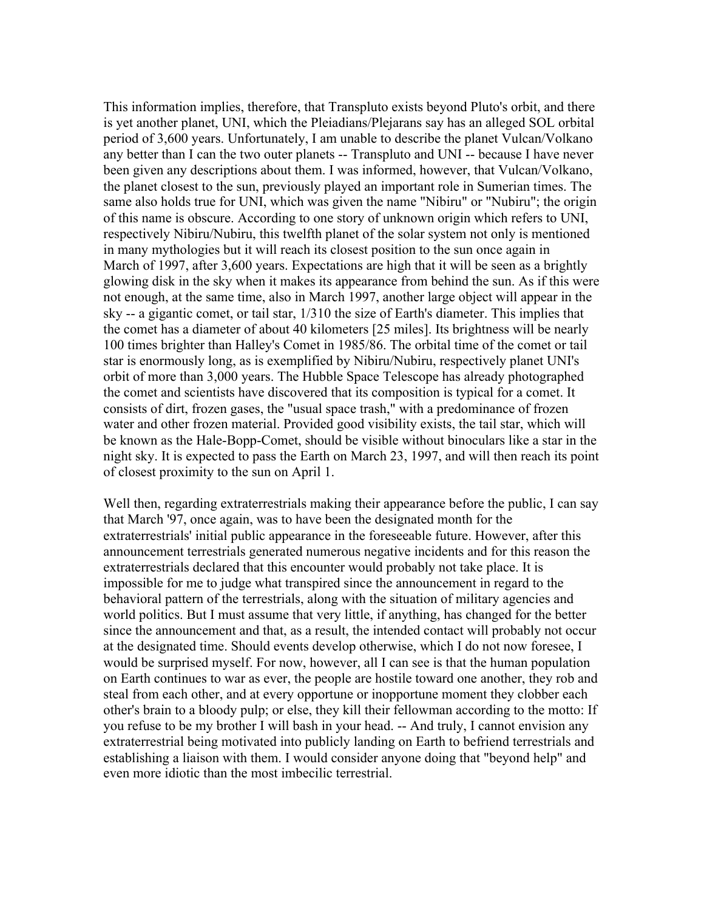This information implies, therefore, that Transpluto exists beyond Pluto's orbit, and there is yet another planet, UNI, which the Pleiadians/Plejarans say has an alleged SOL orbital period of 3,600 years. Unfortunately, I am unable to describe the planet Vulcan/Volkano any better than I can the two outer planets -- Transpluto and UNI -- because I have never been given any descriptions about them. I was informed, however, that Vulcan/Volkano, the planet closest to the sun, previously played an important role in Sumerian times. The same also holds true for UNI, which was given the name "Nibiru" or "Nubiru"; the origin of this name is obscure. According to one story of unknown origin which refers to UNI, respectively Nibiru/Nubiru, this twelfth planet of the solar system not only is mentioned in many mythologies but it will reach its closest position to the sun once again in March of 1997, after 3,600 years. Expectations are high that it will be seen as a brightly glowing disk in the sky when it makes its appearance from behind the sun. As if this were not enough, at the same time, also in March 1997, another large object will appear in the sky -- a gigantic comet, or tail star, 1/310 the size of Earth's diameter. This implies that the comet has a diameter of about 40 kilometers [25 miles]. Its brightness will be nearly 100 times brighter than Halley's Comet in 1985/86. The orbital time of the comet or tail star is enormously long, as is exemplified by Nibiru/Nubiru, respectively planet UNI's orbit of more than 3,000 years. The Hubble Space Telescope has already photographed the comet and scientists have discovered that its composition is typical for a comet. It consists of dirt, frozen gases, the "usual space trash," with a predominance of frozen water and other frozen material. Provided good visibility exists, the tail star, which will be known as the Hale-Bopp-Comet, should be visible without binoculars like a star in the night sky. It is expected to pass the Earth on March 23, 1997, and will then reach its point of closest proximity to the sun on April 1.

Well then, regarding extraterrestrials making their appearance before the public, I can say that March '97, once again, was to have been the designated month for the extraterrestrials' initial public appearance in the foreseeable future. However, after this announcement terrestrials generated numerous negative incidents and for this reason the extraterrestrials declared that this encounter would probably not take place. It is impossible for me to judge what transpired since the announcement in regard to the behavioral pattern of the terrestrials, along with the situation of military agencies and world politics. But I must assume that very little, if anything, has changed for the better since the announcement and that, as a result, the intended contact will probably not occur at the designated time. Should events develop otherwise, which I do not now foresee, I would be surprised myself. For now, however, all I can see is that the human population on Earth continues to war as ever, the people are hostile toward one another, they rob and steal from each other, and at every opportune or inopportune moment they clobber each other's brain to a bloody pulp; or else, they kill their fellowman according to the motto: If you refuse to be my brother I will bash in your head. -- And truly, I cannot envision any extraterrestrial being motivated into publicly landing on Earth to befriend terrestrials and establishing a liaison with them. I would consider anyone doing that "beyond help" and even more idiotic than the most imbecilic terrestrial.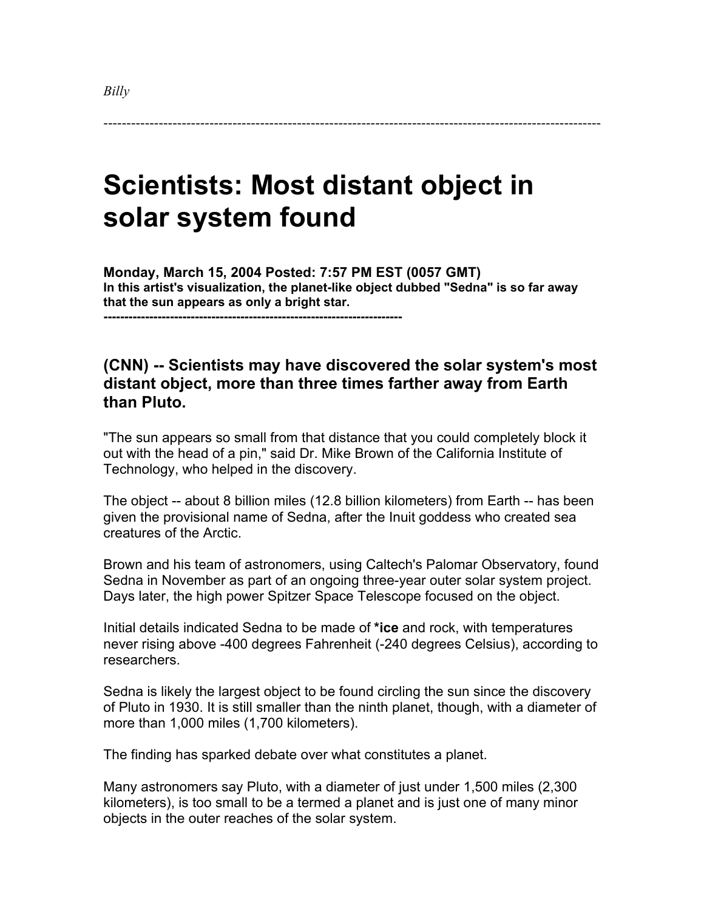------------------------------------------------------------------------------------------------------------

## **Scientists: Most distant object in solar system found**

**Monday, March 15, 2004 Posted: 7:57 PM EST (0057 GMT) In this artist's visualization, the planet-like object dubbed "Sedna" is so far away that the sun appears as only a bright star.**

**------------------------------------------------------------------------**

## **(CNN) -- Scientists may have discovered the solar system's most distant object, more than three times farther away from Earth than Pluto.**

"The sun appears so small from that distance that you could completely block it out with the head of a pin," said Dr. Mike Brown of the California Institute of Technology, who helped in the discovery.

The object -- about 8 billion miles (12.8 billion kilometers) from Earth -- has been given the provisional name of Sedna, after the Inuit goddess who created sea creatures of the Arctic.

Brown and his team of astronomers, using Caltech's Palomar Observatory, found Sedna in November as part of an ongoing three-year outer solar system project. Days later, the high power Spitzer Space Telescope focused on the object.

Initial details indicated Sedna to be made of **\*ice** and rock, with temperatures never rising above -400 degrees Fahrenheit (-240 degrees Celsius), according to researchers.

Sedna is likely the largest object to be found circling the sun since the discovery of Pluto in 1930. It is still smaller than the ninth planet, though, with a diameter of more than 1,000 miles (1,700 kilometers).

The finding has sparked debate over what constitutes a planet.

Many astronomers say Pluto, with a diameter of just under 1,500 miles (2,300 kilometers), is too small to be a termed a planet and is just one of many minor objects in the outer reaches of the solar system.